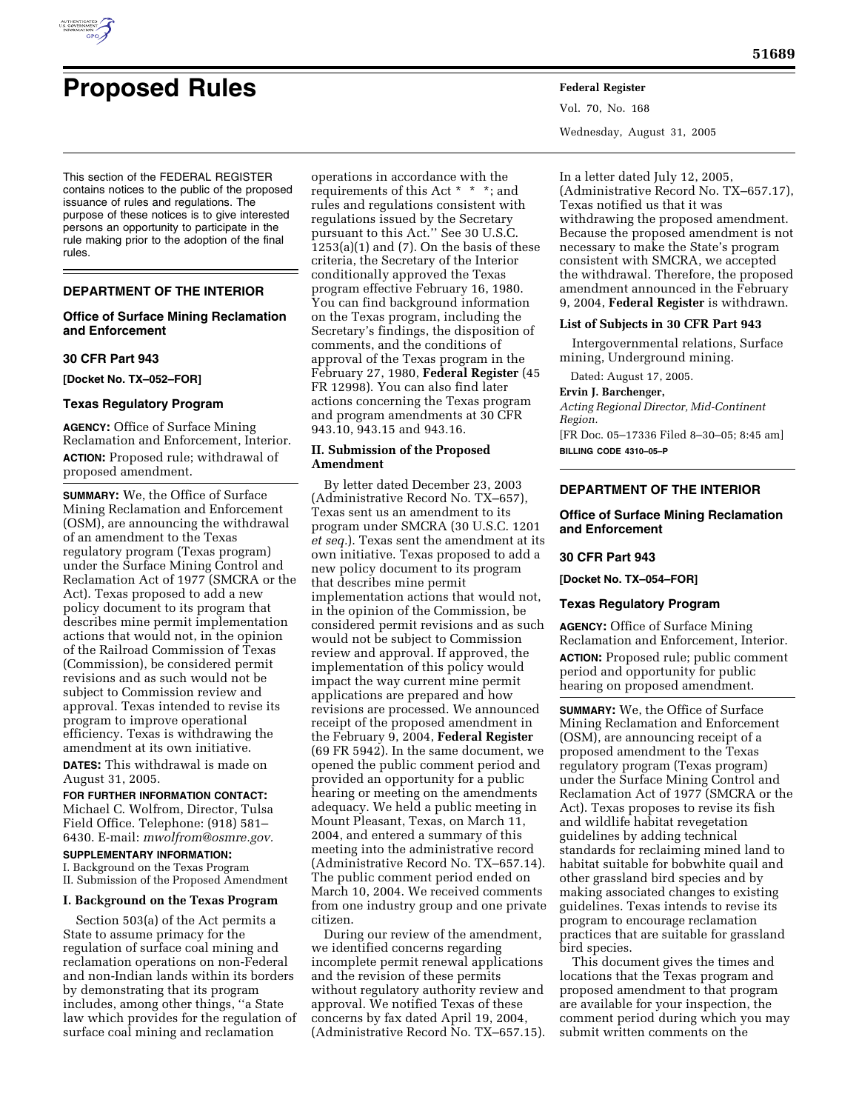

rules.

# **Proposed Rules Federal Register**

This section of the FEDERAL REGISTER contains notices to the public of the proposed issuance of rules and regulations. The purpose of these notices is to give interested persons an opportunity to participate in the

## **DEPARTMENT OF THE INTERIOR**

## **Office of Surface Mining Reclamation and Enforcement**

rule making prior to the adoption of the final

#### **30 CFR Part 943**

**[Docket No. TX–052–FOR]** 

## **Texas Regulatory Program**

**AGENCY:** Office of Surface Mining Reclamation and Enforcement, Interior. **ACTION:** Proposed rule; withdrawal of proposed amendment.

**SUMMARY:** We, the Office of Surface Mining Reclamation and Enforcement (OSM), are announcing the withdrawal of an amendment to the Texas regulatory program (Texas program) under the Surface Mining Control and Reclamation Act of 1977 (SMCRA or the Act). Texas proposed to add a new policy document to its program that describes mine permit implementation actions that would not, in the opinion of the Railroad Commission of Texas (Commission), be considered permit revisions and as such would not be subject to Commission review and approval. Texas intended to revise its program to improve operational efficiency. Texas is withdrawing the amendment at its own initiative. **DATES:** This withdrawal is made on August 31, 2005.

**FOR FURTHER INFORMATION CONTACT:**  Michael C. Wolfrom, Director, Tulsa Field Office. Telephone: (918) 581– 6430. E-mail: *mwolfrom@osmre.gov.* 

## **SUPPLEMENTARY INFORMATION:**

I. Background on the Texas Program II. Submission of the Proposed Amendment

#### **I. Background on the Texas Program**

Section 503(a) of the Act permits a State to assume primacy for the regulation of surface coal mining and reclamation operations on non-Federal and non-Indian lands within its borders by demonstrating that its program includes, among other things, ''a State law which provides for the regulation of surface coal mining and reclamation

operations in accordance with the requirements of this Act \* \* \*; and rules and regulations consistent with regulations issued by the Secretary pursuant to this Act.'' See 30 U.S.C.  $1253(a)(1)$  and  $(7)$ . On the basis of these criteria, the Secretary of the Interior conditionally approved the Texas program effective February 16, 1980. You can find background information on the Texas program, including the Secretary's findings, the disposition of comments, and the conditions of approval of the Texas program in the February 27, 1980, **Federal Register** (45 FR 12998). You can also find later actions concerning the Texas program and program amendments at 30 CFR 943.10, 943.15 and 943.16.

#### **II. Submission of the Proposed Amendment**

By letter dated December 23, 2003 (Administrative Record No. TX–657), Texas sent us an amendment to its program under SMCRA (30 U.S.C. 1201 *et seq.*). Texas sent the amendment at its own initiative. Texas proposed to add a new policy document to its program that describes mine permit implementation actions that would not, in the opinion of the Commission, be considered permit revisions and as such would not be subject to Commission review and approval. If approved, the implementation of this policy would impact the way current mine permit applications are prepared and how revisions are processed. We announced receipt of the proposed amendment in the February 9, 2004, **Federal Register**  (69 FR 5942). In the same document, we opened the public comment period and provided an opportunity for a public hearing or meeting on the amendments adequacy. We held a public meeting in Mount Pleasant, Texas, on March 11, 2004, and entered a summary of this meeting into the administrative record (Administrative Record No. TX–657.14). The public comment period ended on March 10, 2004. We received comments from one industry group and one private citizen.

During our review of the amendment, we identified concerns regarding incomplete permit renewal applications and the revision of these permits without regulatory authority review and approval. We notified Texas of these concerns by fax dated April 19, 2004, (Administrative Record No. TX–657.15). Vol. 70, No. 168 Wednesday, August 31, 2005

In a letter dated July 12, 2005, (Administrative Record No. TX–657.17), Texas notified us that it was withdrawing the proposed amendment. Because the proposed amendment is not necessary to make the State's program consistent with SMCRA, we accepted the withdrawal. Therefore, the proposed amendment announced in the February 9, 2004, **Federal Register** is withdrawn.

#### **List of Subjects in 30 CFR Part 943**

Intergovernmental relations, Surface mining, Underground mining.

Dated: August 17, 2005.

### **Ervin J. Barchenger,**

*Acting Regional Director, Mid-Continent Region.* 

[FR Doc. 05–17336 Filed 8–30–05; 8:45 am] **BILLING CODE 4310–05–P** 

## **DEPARTMENT OF THE INTERIOR**

## **Office of Surface Mining Reclamation and Enforcement**

#### **30 CFR Part 943**

**[Docket No. TX–054–FOR]** 

#### **Texas Regulatory Program**

**AGENCY:** Office of Surface Mining Reclamation and Enforcement, Interior. **ACTION:** Proposed rule; public comment period and opportunity for public hearing on proposed amendment.

**SUMMARY:** We, the Office of Surface Mining Reclamation and Enforcement (OSM), are announcing receipt of a proposed amendment to the Texas regulatory program (Texas program) under the Surface Mining Control and Reclamation Act of 1977 (SMCRA or the Act). Texas proposes to revise its fish and wildlife habitat revegetation guidelines by adding technical standards for reclaiming mined land to habitat suitable for bobwhite quail and other grassland bird species and by making associated changes to existing guidelines. Texas intends to revise its program to encourage reclamation practices that are suitable for grassland bird species.

This document gives the times and locations that the Texas program and proposed amendment to that program are available for your inspection, the comment period during which you may submit written comments on the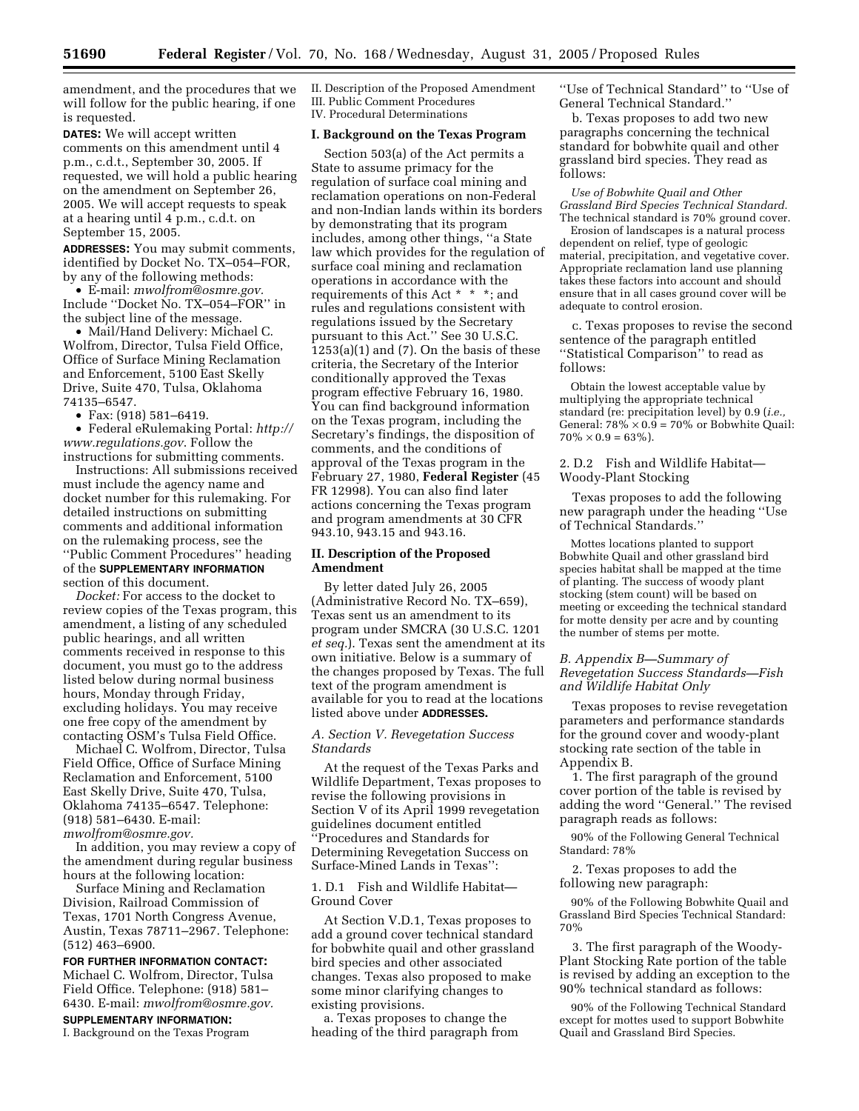amendment, and the procedures that we will follow for the public hearing, if one is requested.

**DATES:** We will accept written comments on this amendment until 4 p.m., c.d.t., September 30, 2005. If requested, we will hold a public hearing on the amendment on September 26, 2005. We will accept requests to speak at a hearing until 4 p.m., c.d.t. on September 15, 2005.

**ADDRESSES:** You may submit comments, identified by Docket No. TX–054–FOR, by any of the following methods:

• E-mail: *mwolfrom@osmre.gov.*  Include ''Docket No. TX–054–FOR'' in the subject line of the message.

• Mail/Hand Delivery: Michael C. Wolfrom, Director, Tulsa Field Office, Office of Surface Mining Reclamation and Enforcement, 5100 East Skelly Drive, Suite 470, Tulsa, Oklahoma 74135–6547.

• Fax: (918) 581–6419.

• Federal eRulemaking Portal: *http:// www.regulations.gov*. Follow the instructions for submitting comments.

Instructions: All submissions received must include the agency name and docket number for this rulemaking. For detailed instructions on submitting comments and additional information on the rulemaking process, see the ''Public Comment Procedures'' heading of the **SUPPLEMENTARY INFORMATION** section of this document.

*Docket:* For access to the docket to review copies of the Texas program, this amendment, a listing of any scheduled public hearings, and all written comments received in response to this document, you must go to the address listed below during normal business hours, Monday through Friday, excluding holidays. You may receive one free copy of the amendment by contacting OSM's Tulsa Field Office.

Michael C. Wolfrom, Director, Tulsa Field Office, Office of Surface Mining Reclamation and Enforcement, 5100 East Skelly Drive, Suite 470, Tulsa, Oklahoma 74135–6547. Telephone: (918) 581–6430. E-mail: *mwolfrom@osmre.gov.* 

In addition, you may review a copy of the amendment during regular business hours at the following location:

Surface Mining and Reclamation Division, Railroad Commission of Texas, 1701 North Congress Avenue, Austin, Texas 78711–2967. Telephone: (512) 463–6900.

**FOR FURTHER INFORMATION CONTACT:**  Michael C. Wolfrom, Director, Tulsa Field Office. Telephone: (918) 581– 6430. E-mail: *mwolfrom@osmre.gov.*  **SUPPLEMENTARY INFORMATION:** 

I. Background on the Texas Program

II. Description of the Proposed Amendment III. Public Comment Procedures IV. Procedural Determinations

#### **I. Background on the Texas Program**

Section 503(a) of the Act permits a State to assume primacy for the regulation of surface coal mining and reclamation operations on non-Federal and non-Indian lands within its borders by demonstrating that its program includes, among other things, ''a State law which provides for the regulation of surface coal mining and reclamation operations in accordance with the requirements of this Act \* \* \*; and rules and regulations consistent with regulations issued by the Secretary pursuant to this Act.'' See 30 U.S.C. 1253(a)(1) and (7). On the basis of these criteria, the Secretary of the Interior conditionally approved the Texas program effective February 16, 1980. You can find background information on the Texas program, including the Secretary's findings, the disposition of comments, and the conditions of approval of the Texas program in the February 27, 1980, **Federal Register** (45 FR 12998). You can also find later actions concerning the Texas program and program amendments at 30 CFR 943.10, 943.15 and 943.16.

## **II. Description of the Proposed Amendment**

By letter dated July 26, 2005 (Administrative Record No. TX–659), Texas sent us an amendment to its program under SMCRA (30 U.S.C. 1201 *et seq.*). Texas sent the amendment at its own initiative. Below is a summary of the changes proposed by Texas. The full text of the program amendment is available for you to read at the locations listed above under **ADDRESSES.** 

#### *A. Section V. Revegetation Success Standards*

At the request of the Texas Parks and Wildlife Department, Texas proposes to revise the following provisions in Section V of its April 1999 revegetation guidelines document entitled ''Procedures and Standards for Determining Revegetation Success on Surface-Mined Lands in Texas'':

1. D.1 Fish and Wildlife Habitat— Ground Cover

At Section V.D.1, Texas proposes to add a ground cover technical standard for bobwhite quail and other grassland bird species and other associated changes. Texas also proposed to make some minor clarifying changes to existing provisions.

a. Texas proposes to change the heading of the third paragraph from ''Use of Technical Standard'' to ''Use of General Technical Standard.''

b. Texas proposes to add two new paragraphs concerning the technical standard for bobwhite quail and other grassland bird species. They read as follows:

*Use of Bobwhite Quail and Other Grassland Bird Species Technical Standard.*  The technical standard is 70% ground cover.

Erosion of landscapes is a natural process dependent on relief, type of geologic material, precipitation, and vegetative cover. Appropriate reclamation land use planning takes these factors into account and should ensure that in all cases ground cover will be adequate to control erosion.

c. Texas proposes to revise the second sentence of the paragraph entitled "Statistical Comparison" to read as follows:

Obtain the lowest acceptable value by multiplying the appropriate technical standard (re: precipitation level) by 0.9 (*i.e.,*  General:  $78\% \times 0.9 = 70\%$  or Bobwhite Quail:  $70\% \times 0.9 = 63\%$ .

2. D.2 Fish and Wildlife Habitat— Woody-Plant Stocking

Texas proposes to add the following new paragraph under the heading ''Use of Technical Standards.''

Mottes locations planted to support Bobwhite Quail and other grassland bird species habitat shall be mapped at the time of planting. The success of woody plant stocking (stem count) will be based on meeting or exceeding the technical standard for motte density per acre and by counting the number of stems per motte.

## *B. Appendix B—Summary of Revegetation Success Standards—Fish and Wildlife Habitat Only*

Texas proposes to revise revegetation parameters and performance standards for the ground cover and woody-plant stocking rate section of the table in Appendix B.

1. The first paragraph of the ground cover portion of the table is revised by adding the word ''General.'' The revised paragraph reads as follows:

90% of the Following General Technical Standard: 78%

2. Texas proposes to add the following new paragraph:

90% of the Following Bobwhite Quail and Grassland Bird Species Technical Standard: 70%

3. The first paragraph of the Woody-Plant Stocking Rate portion of the table is revised by adding an exception to the 90% technical standard as follows:

90% of the Following Technical Standard except for mottes used to support Bobwhite Quail and Grassland Bird Species.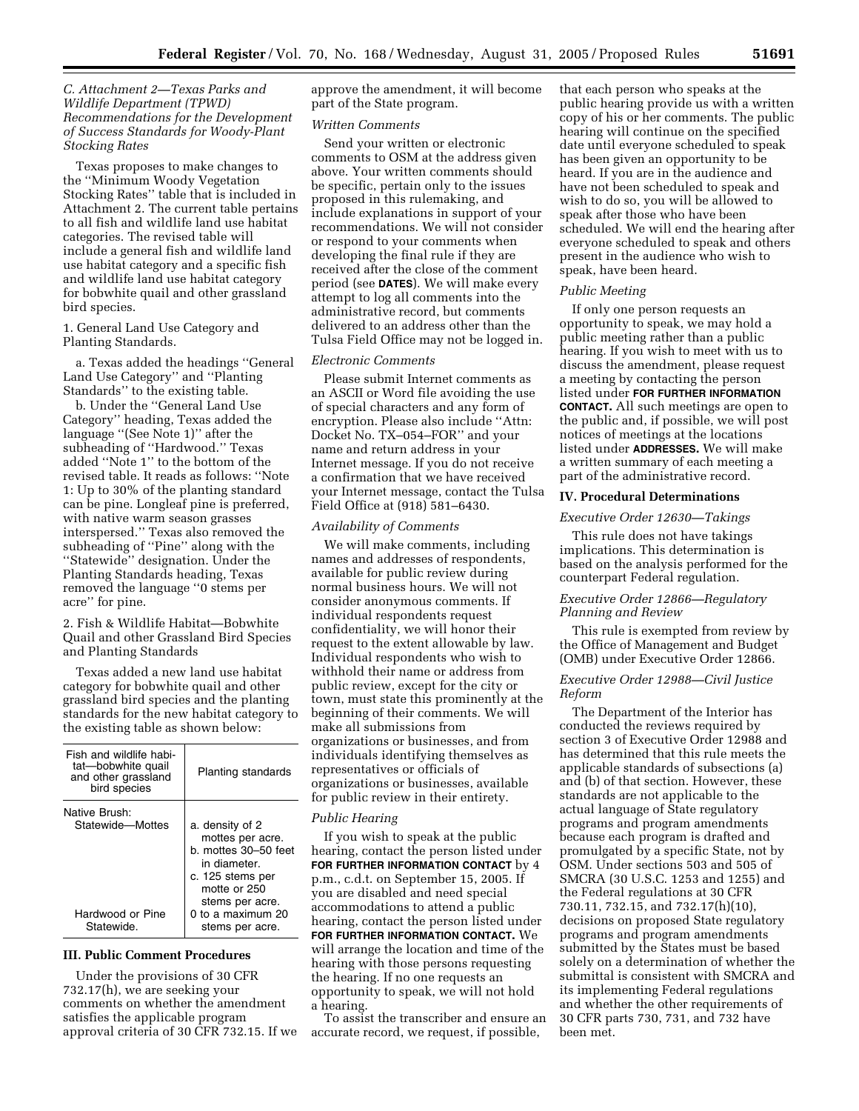## *C. Attachment 2—Texas Parks and Wildlife Department (TPWD) Recommendations for the Development of Success Standards for Woody-Plant Stocking Rates*

Texas proposes to make changes to the ''Minimum Woody Vegetation Stocking Rates'' table that is included in Attachment 2. The current table pertains to all fish and wildlife land use habitat categories. The revised table will include a general fish and wildlife land use habitat category and a specific fish and wildlife land use habitat category for bobwhite quail and other grassland bird species.

1. General Land Use Category and Planting Standards.

a. Texas added the headings ''General Land Use Category'' and ''Planting Standards'' to the existing table.

b. Under the ''General Land Use Category'' heading, Texas added the language ''(See Note 1)'' after the subheading of ''Hardwood.'' Texas added ''Note 1'' to the bottom of the revised table. It reads as follows: ''Note 1: Up to 30% of the planting standard can be pine. Longleaf pine is preferred, with native warm season grasses interspersed.'' Texas also removed the subheading of ''Pine'' along with the ''Statewide'' designation. Under the Planting Standards heading, Texas removed the language ''0 stems per acre'' for pine.

2. Fish & Wildlife Habitat—Bobwhite Quail and other Grassland Bird Species and Planting Standards

Texas added a new land use habitat category for bobwhite quail and other grassland bird species and the planting standards for the new habitat category to the existing table as shown below:

| Fish and wildlife habi-<br>tat-bobwhite quail<br>and other grassland<br>bird species | Planting standards                                                                                                                                                         |
|--------------------------------------------------------------------------------------|----------------------------------------------------------------------------------------------------------------------------------------------------------------------------|
| Native Brush:<br>Statewide-Mottes<br>Hardwood or Pine<br>Statewide.                  | a. density of 2<br>mottes per acre.<br>b. mottes 30-50 feet<br>in diameter.<br>c. 125 stems per<br>motte or 250<br>stems per acre.<br>0 to a maximum 20<br>stems per acre. |

## **III. Public Comment Procedures**

Under the provisions of 30 CFR 732.17(h), we are seeking your comments on whether the amendment satisfies the applicable program approval criteria of 30 CFR 732.15. If we approve the amendment, it will become part of the State program.

#### *Written Comments*

Send your written or electronic comments to OSM at the address given above. Your written comments should be specific, pertain only to the issues proposed in this rulemaking, and include explanations in support of your recommendations. We will not consider or respond to your comments when developing the final rule if they are received after the close of the comment period (see **DATES**). We will make every attempt to log all comments into the administrative record, but comments delivered to an address other than the Tulsa Field Office may not be logged in.

## *Electronic Comments*

Please submit Internet comments as an ASCII or Word file avoiding the use of special characters and any form of encryption. Please also include ''Attn: Docket No. TX–054–FOR'' and your name and return address in your Internet message. If you do not receive a confirmation that we have received your Internet message, contact the Tulsa Field Office at (918) 581–6430.

#### *Availability of Comments*

We will make comments, including names and addresses of respondents, available for public review during normal business hours. We will not consider anonymous comments. If individual respondents request confidentiality, we will honor their request to the extent allowable by law. Individual respondents who wish to withhold their name or address from public review, except for the city or town, must state this prominently at the beginning of their comments. We will make all submissions from organizations or businesses, and from individuals identifying themselves as representatives or officials of organizations or businesses, available for public review in their entirety.

#### *Public Hearing*

If you wish to speak at the public hearing, contact the person listed under **FOR FURTHER INFORMATION CONTACT** by 4 p.m., c.d.t. on September 15, 2005. If you are disabled and need special accommodations to attend a public hearing, contact the person listed under **FOR FURTHER INFORMATION CONTACT.** We will arrange the location and time of the hearing with those persons requesting the hearing. If no one requests an opportunity to speak, we will not hold a hearing.

To assist the transcriber and ensure an accurate record, we request, if possible,

that each person who speaks at the public hearing provide us with a written copy of his or her comments. The public hearing will continue on the specified date until everyone scheduled to speak has been given an opportunity to be heard. If you are in the audience and have not been scheduled to speak and wish to do so, you will be allowed to speak after those who have been scheduled. We will end the hearing after everyone scheduled to speak and others present in the audience who wish to speak, have been heard.

#### *Public Meeting*

If only one person requests an opportunity to speak, we may hold a public meeting rather than a public hearing. If you wish to meet with us to discuss the amendment, please request a meeting by contacting the person listed under **FOR FURTHER INFORMATION CONTACT.** All such meetings are open to the public and, if possible, we will post notices of meetings at the locations listed under **ADDRESSES.** We will make a written summary of each meeting a part of the administrative record.

#### **IV. Procedural Determinations**

## *Executive Order 12630—Takings*

This rule does not have takings implications. This determination is based on the analysis performed for the counterpart Federal regulation.

#### *Executive Order 12866—Regulatory Planning and Review*

This rule is exempted from review by the Office of Management and Budget (OMB) under Executive Order 12866.

## *Executive Order 12988—Civil Justice Reform*

The Department of the Interior has conducted the reviews required by section 3 of Executive Order 12988 and has determined that this rule meets the applicable standards of subsections (a) and (b) of that section. However, these standards are not applicable to the actual language of State regulatory programs and program amendments because each program is drafted and promulgated by a specific State, not by OSM. Under sections 503 and 505 of SMCRA (30 U.S.C. 1253 and 1255) and the Federal regulations at 30 CFR 730.11, 732.15, and 732.17(h)(10), decisions on proposed State regulatory programs and program amendments submitted by the States must be based solely on a determination of whether the submittal is consistent with SMCRA and its implementing Federal regulations and whether the other requirements of 30 CFR parts 730, 731, and 732 have been met.